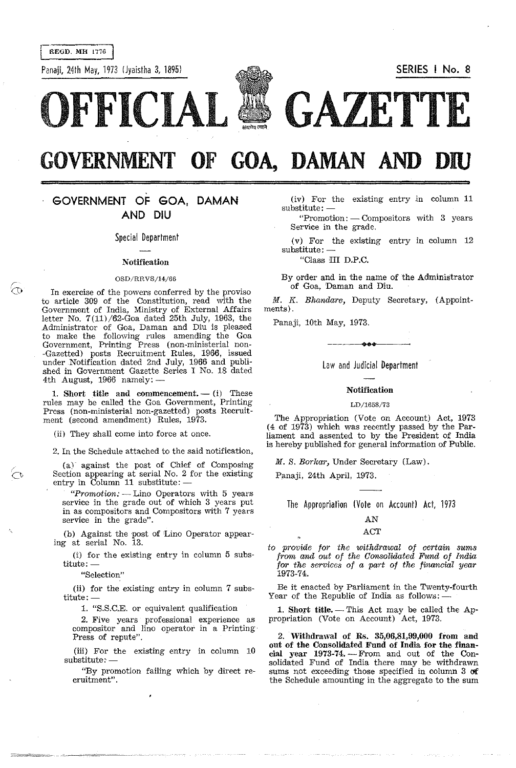REGD. MH 1776

 $\widehat{\odot}$ 

Panaji, 24th May, 1973 [Jyaistha 3, 1B95} **SERIES I No.8** 



# **GOVERNMENT OF GOA, DAMAN AND**

# **GOVERNMENT OF GOA, DAMAN AND DIU**

Special Department

#### Notification

#### $OSD/RRVS/14/66$

In exercise of the powers conferred by the proviso to article *309* of the Constitution, read with the Government of India, Ministry of External Affairs letter No. 7(11)/62-Goa dated 25th July, 1963, the Administrator of Goa, Daman and Diu is pleased to make the following rules amending the Goa Government, Printing Press (non-ministerial non- -Gazetted) posts Recruitment Rules, 1966, issued under Notification dated 2nd July, 1966 and published in Government Gazette Series I No. 18 dated 4th August, 1966 namely:-

1. Short title and commencement.  $-$  (i) These rules may be called the Goa Government, Printing Press (non-ministerial non-gazetted) posts Recruitment (second amendment) Rules, 1973.

(ii) They shall come into force at once.

2. In the Schedule attached to the said notification,

(a) against the post of Chief of Composing Section appearing at serial No. 2 for the existing entry in Column  $11$  substitute:  $-$ 

*"Promotion:* - Lino Operators with 5 years service in the grade out of which 3 years put in as compositors and Compositors with 7 years service in the grade".

(b) Against the post of Lino Operator appearing at serial No. 13.

(i) for the existing entry in column 5 subs $titute:$   $-$ 

**"Selection"** 

(ii) for the existing entry in column 7 subs $title: -$ 

1. "S.S.C.E. or equivalent qualification

2. Five years professional experience as compositor and lino operator in a Printing' Press of repute".

(iii) For the existing entry in column 10  $substitute: -$ 

"By promotion failing which by direct re**cruitment" .** 

(iv) For the existing entry in column 11 substitute: -

"Promotion: - Compositors with 3 years Service in the grade.

(v) For the existing entry in column 12  $substitute: -$ 

"Class HI D.P.C.

By order and in the name of the Administrator of Goa, Daman and Diu.

*M. K. Bhandare, Deputy Secretary, (Appoint*ments).

Panaji, 10th May, 1973.

Law and Judicial Department

**oee** 

# Notification

#### LDj1658/73

The Appropriation (Vote on Account) Act, 1973 (4 of 1973) which was recently passed by the Parliament and assented to by the President of India is hereby published for general information of Public.

*M. S. Borkar,* Under Secretary (Law).

Panaji, 24th April, 1973.

The Appropriation (Vote on Account) Act, 1973

# AN

#### ACT

*to provide for the withdrawal of certain sums from and out of the Oonsolidated Fund of India for the services of a part of the financial year*  1973-74.

Be it enacted by Parliament in the Twenty-fourth Year of the Republic of India as follows:  $-$ 

1. Short title.  $-$  This Act may be called the Appropriation (Vote on Account) Act, 1973.

2. Withdrawal of Rs. 35,06,81,99,000 from and out of the Consolidated Fund of India for the financial year 1973-74. - From and out of the Consolidated Fund of India there may be withdrawn sums not exceeding those specified in column 3 of the Schedule amounting in the aggregate to the sum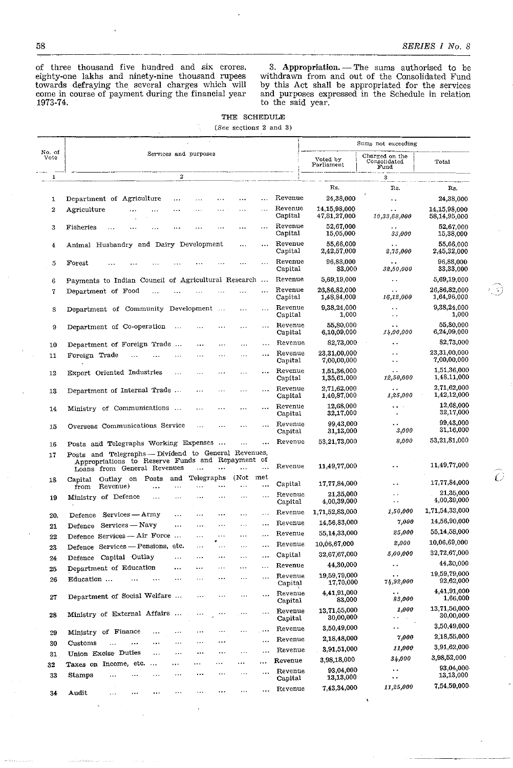of three thousand five hundred and six crores, eighty-one lakhs and ninety-nine thousand rupees towards defraying the several charges which will come in course of payment during the financial year 1973-74,

3. Appropriation. - The sums authorised to be withdrawn from and out of the Consolidated Fund by this Act shall be appropriated for the services and purposes expressed in the Schedule in relation to the said year.

| THE SCHEDULE |  |                              |  |  |
|--------------|--|------------------------------|--|--|
|              |  | (See sections $2$ and $3)$ ) |  |  |

|                |                                                                                                             |                                                       | Sums not exceeding                           |                              |
|----------------|-------------------------------------------------------------------------------------------------------------|-------------------------------------------------------|----------------------------------------------|------------------------------|
| No. of<br>Vote | Services and purposes                                                                                       | Voted by<br>Parliament                                | Charged on the<br>Consolidated<br>Fund       | Total                        |
| $\overline{1}$ | $\boldsymbol{2}$                                                                                            |                                                       | 3                                            |                              |
|                |                                                                                                             | Rs.                                                   | Rs.                                          | Rs.                          |
| 1              | Department of Agriculture<br><br>$\cdots$<br>$\cdots$                                                       | Revenue<br>24,38,000                                  | $\ddot{\phantom{a}}$                         | 24,38,000                    |
| 2              | Agriculture<br>$\sim$<br>.<br>Capital                                                                       | Revenue<br>14,15,98,000<br>47,81,27,000               | . .<br>10,33,68,000                          | 14,15,98,000<br>58,14,95,000 |
| 3              | Fisheries<br>$\ddotsc$<br>.<br>Capital                                                                      | Revenue<br>52,67,000<br>15,05,000                     | . .<br>33,000                                | 52,67,000<br>15,38,000       |
| 4              | Animal Husbandry and Dairy Development<br>$\cdots$<br>Capital                                               | Revenue<br>55,66,000<br>2,42,57,000                   | 2,75,000                                     | 55.66.000<br>2,45,32,000     |
| 5              | Forest<br>$\cdots$<br>Capital                                                                               | Revenue<br>96,88,000<br>83,000                        | 32,50,000                                    | 96,88,000<br>33,33,000       |
| 6              | Payments to Indian Council of Agricultural Research                                                         | Revenue<br>5,69,19,000                                | . .                                          | 5,69,19,000                  |
| 7              | Department of Food<br>.<br>Capital                                                                          | Revenue<br>26,86,82,000<br>1,48,84,000                | $\ddot{\phantom{a}}$<br>16,12,000            | 26,86,82,000<br>1,64,96,000  |
| 8              | Department of Community Development<br>$\cdots$                                                             | Revenue<br>9,38,24,000<br>Capital<br>1,000            | . .                                          | 9,38,24,000<br>1,000         |
| 9              | Department of Co-operation<br>$\sim 10$<br>$\cdots$                                                         | 55,80,000<br>Revenue<br>6,10,09,000<br>Capital        | $\bullet$ .<br>14,00,000                     | 55,80,000<br>6,24,09,000     |
| 10             | Department of Foreign Trade<br>.<br><br>.                                                                   | Revenue<br>82,73,000                                  |                                              | 82,73,000                    |
| 11             | Foreign Trade<br>.<br>.<br>.                                                                                | 23,31,00,000<br>Revenue<br>Capital<br>7,00,00,000     | $\ddot{\phantom{0}}$<br>$\ddot{\phantom{1}}$ | 23,31,00,000<br>7,00,00,000  |
| 12             | Export Oriented Industries<br>.<br>$\cdots$<br>$\ddotsc$<br>$\cdots$                                        | Revenue<br>1,51,36,000<br>Capital<br>1,35,61,000      | $\ddot{\phantom{1}}$<br>12,50,000            | 1.51,36,000<br>1,48,11,000   |
| 13             | Department of Internal Trade<br>.<br>$\cdots$<br>$\cdots$                                                   | Revenue<br>2,71,62,000<br>Capital<br>1,40,87,000      | $\ddot{\phantom{a}}$<br>1,25,000             | 2,71,62,000<br>1,42,12,000   |
| 14             | Ministry of Communications<br>.<br>.<br>.                                                                   | 12,68,000<br>Revenue<br>32,17,000<br>Capital          | $\ddot{\phantom{0}}$                         | 12,68,000<br>32,17,000       |
| 15             | Overseas Communications Service<br>$\ddotsc$<br>$\ddotsc$                                                   | Revenue<br>99,43,000<br>Capital<br>31,13,000          | ė,<br>3,000                                  | 99,43,000<br>31,16,000       |
| 16             | Posts and Telegraphs Working Expenses<br>.                                                                  | 53.21,73,000<br>Revenue                               | 8,000                                        | 53,21,81,000                 |
| 17             | Posts and Telegraphs - Dividend to General Revenues,<br>Appropriations to Reserve Funds and Repayment of    |                                                       |                                              |                              |
|                | Loans from General Revenues<br>$\ddotsc$<br>(Not                                                            | 11,49,77,000<br>Revenue                               |                                              | 11,49,77,000                 |
| 18             | met<br>Telegraphs<br>Outlay on Posts<br>and<br>Capital<br>Capital<br>Revenue)<br><br>from<br>.<br>$\ddotsc$ | 17,77,84,000                                          | $\ddot{\phantom{0}}$                         | 17,77,84,000                 |
| 19             | Ministry of Defence<br>$\cdots$<br>$\cdots$                                                                 | 21,35,000<br>Revenue<br>4,00,39,000<br>Capital        | . .                                          | 21,35,000<br>4,00,39,000     |
| 20.            | Services - Army<br>Defence<br>.<br>$\ddotsc$<br><br>.                                                       | 1,71,52,83,000<br>Revenue                             | 1,50,000                                     | 1,71,54,33,000               |
| 21             | <br>Services — Navy<br>Defence<br>.<br>$\cdots$<br>$\cdots$<br>.                                            | 14,56,83,000<br>Revenue                               | 7,000                                        | 14,56,90,000                 |
| 22             | Defence Services - Air Force<br>$\cdots$<br>$\sim$ $\sim$<br>$\cdots$                                       | 55,14,33,000<br>Revenue                               | 25,000                                       | 55,14,58,000                 |
| 23             | Defence Services - Pensions, etc.<br>.<br>$\cdots$<br>$\cdots$<br>$\cdots$                                  | 10,06,67,000<br>Revenue                               | 2,000                                        | 10,06,69,000                 |
| 24             | $\sf Capital$<br>Defence Capital Outlay<br><br>$\ddotsc$<br>$\cdots$<br>$\ddotsc$<br>                       | 32,67,67,000                                          | 5,00,000                                     | 32,72,67,000                 |
| 25             | Department of Education<br>$\cdots$<br>$\cdots$<br>$\ldots$<br>                                             | 44,30,000<br>Revenue                                  | . .                                          | 44,30,000                    |
| 26             | .<br>Education<br>.<br>$\cdots$<br>.                                                                        | 19,59,79,000<br>Revenue<br>17,70,000<br>$\bf Capital$ | $\ddot{\phantom{0}}$<br>74,92,000            | 19,59,79,000<br>92,62,000    |
| 27             | Department of Social Welfare<br>.<br>.                                                                      | 4.41,91,000<br>Revenue<br>83,000<br>Capital           | . .<br>88,000                                | 4,41,91,000<br>1,66,000      |
| 28             | Ministry of External Affairs<br>$\cdots$                                                                    | 13.71.55,000<br>Revenue<br>30,00,000<br>Capital       | 1,000<br>٠.                                  | 13,71,56,000<br>30,00,000    |
|                | $\ddotsc$<br>Ministry of Finance<br><br>.<br>$\cdots$<br>.                                                  | 3,50,49,000<br>Revenue                                | . .                                          | 3,50,49,000                  |
| 29             | $\ddotsc$<br>$\cdots$<br>Customs<br><br>$\ddotsc$<br>$\cdots$                                               | 2.18,48,000<br>Revenue                                | 7,000                                        | 2,18,55,000                  |
| 30             | <br>Union Excise Duties<br>.<br><br>$\cdots$<br>$\ddotsc$<br>                                               | 3,91,51,000<br>Revenue                                | 11,000                                       | 3,91,62,000                  |
| 31             | Revenue<br>$\ddotsc$<br>Taxes on Income, etc.<br>$\ddotsc$<br>. <sup>.</sup><br>.                           | 3,98,18,000                                           | 34,000                                       | 3,98,52,000                  |
| 32<br>33       | $\sim$<br>$\ddotsc$<br>$\ddots$<br>Stamps<br>$\ddotsc$<br>.<br>$\cdots$                                     | 93,04,000<br>Revenue<br>13,13,000<br>Capital          | $\ddot{\phantom{1}}$<br>$\ddot{\phantom{1}}$ | 93,04,000<br>13,13,000       |
| 34             | .<br>A udit                                                                                                 | 7,43,34,000<br>Revenue                                | 11,25,000                                    | 7,54,59,000                  |
|                |                                                                                                             |                                                       | ٦                                            |                              |

ි)

 $\widehat{\mathcal{O}}$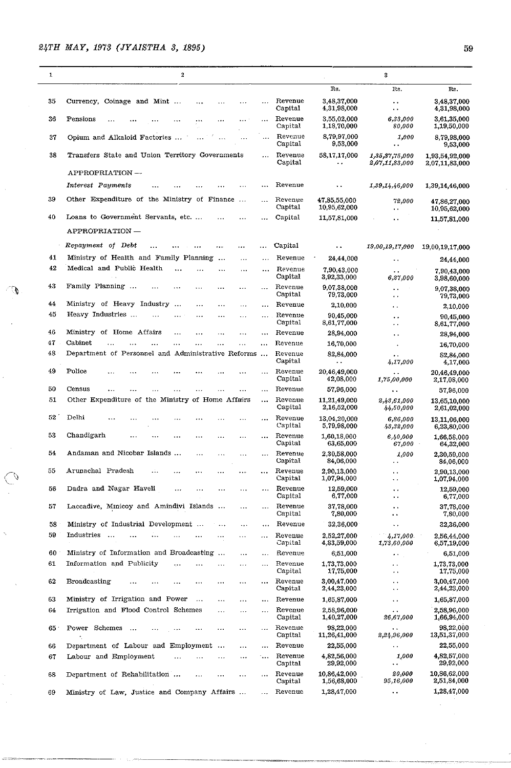| $\mathbf{1}$ | $\boldsymbol{2}$                                                                              |                      |                    |                                   | 3                                                                    |                                  |
|--------------|-----------------------------------------------------------------------------------------------|----------------------|--------------------|-----------------------------------|----------------------------------------------------------------------|----------------------------------|
|              |                                                                                               |                      |                    | Rs.                               | Rs.                                                                  | Rs.                              |
| 35           | Currency, Coinage and Mint                                                                    | $\overline{a}$       | Revenue<br>Capital | 3,48,37,000<br>4,31,98,000        | $\bullet\hspace{0.4mm}\bullet\hspace{0.4mm}$<br>$\ddot{\phantom{0}}$ | 3,48,37,000<br>4,31,98,000       |
| 36           | Pensions<br>$\cdots$                                                                          | $\ddot{\phantom{a}}$ | Revenue<br>Capital | 3,55,02,000<br>1,18,70,000        | 6,33,000<br>80,000                                                   | 3,61,35,000<br>1,19,50,000       |
| 37           | Opium and Alkaloid Factories                                                                  | $\cdots$             | Revenue<br>Capital | 8,79,97,000<br>9,53,000           | 1,000<br>. .                                                         | 8,79,98,000<br>9,53,000          |
| 38           | Transfers State and Union Territory Governments                                               | $\mathbf{r}$         | Revenue<br>Capital | 58,17,17,000<br>٠.                | 1, 35, 37, 75, 000<br>2,07,11,83,000                                 | 1,93,54,92,000<br>2,07,11,83,000 |
|              | APPROPRIATION -                                                                               |                      | Revenue            |                                   |                                                                      |                                  |
| 39           | Interest Payments                                                                             | .                    |                    | $\ddot{\phantom{1}}$              | 1,39,14,46,000                                                       | 1,39,14,46,000                   |
|              | Other Expenditure of the Ministry of Finance                                                  | $\overline{1}$       | Revenue<br>Capital | 47,85,55,000<br>10,95,62,000      | 72,000<br>. .                                                        | 47,86,27,000<br>10,95,62,000     |
| 40           | Loans to Government Servants, etc                                                             |                      | Capital            | 11,57,81,000                      | ρ.                                                                   | 11,57,81,000                     |
|              | APPROPRIATION —                                                                               |                      |                    |                                   |                                                                      |                                  |
|              | Repayment of Debt                                                                             |                      | Capital            | ٠.                                | 19,00,19,17,000                                                      | 19,00,19,17,000                  |
| 41           | Ministry of Health and Family Planning<br>$\ddotsc$<br>$\ddotsc$<br>Medical and Public Health | $\cdot$              | Reyenue            | 24,44,000                         | .,                                                                   | 24,44,000                        |
| 42           | <br>$\cdots$                                                                                  | $\ddotsc$            | Revenue<br>Capital | 7,90,43 000<br>3,92,33,000        | ٠.<br>6,27,000                                                       | 7,90,43,000<br>3,98,60,000       |
| 43           | Family Planning<br>$\ddotsc$<br>$\ddotsc$<br>.                                                | $\ddotsc$            | Revenue<br>Capital | 9.07.38.000<br>79,73,000          | $\ddot{\phantom{0}}$<br>$\ddot{\phantom{0}}$                         | 9,07,38,000<br>79,73,000         |
| 44           | Ministry of Heavy Industry<br>$\dddotsc$<br><br>.<br>                                         |                      | Revenue            | 2,10,000                          | . .                                                                  | 2,10,000                         |
| 45           | Heavy Industries<br><br>$\cdots$<br>$\cdots$                                                  | $\sim$ $\sim$        | Revenue<br>Capital | 90,45,000<br>8,61,77,000          | $\ddot{\phantom{0}}$<br>$\bullet$ .                                  | 90,45,000<br>8,61,77,000         |
| 46           | Ministry of Home Affairs<br>$\cdots$<br>$\ddotsc$<br>.<br>.                                   | $\ddotsc$            | Revenue            | 28,94,000                         | . .                                                                  | 28,94,000                        |
| 47           | Cabinet                                                                                       |                      | Revenue            | 16,70,000                         |                                                                      | 16,70,000                        |
| 48           | Department of Personnel and Administrative Reforms                                            |                      | Revenue<br>Capital | 82,84,000<br>$\ddot{\phantom{0}}$ | $\ddot{\phantom{a}}$<br>4,17,000                                     | 82,84,000<br>4,17,000            |
| 49           | Police                                                                                        | .                    | Revenue<br>Capital | 20,46,49.000<br>42,08,000         | 1,75,00,000                                                          | 20,46,49.000<br>2,17,08,000      |
| 50           | Census                                                                                        | $\ddotsc$            | Revenue            | 57,96,000                         | ٠.                                                                   | 57,96,000                        |
| 51           | Other Expenditure of the Ministry of Home Affairs                                             | $\ddotsc$            | Revenue<br>Capital | 11,21,49,000<br>2,16,52,000       | 2,43,61,000<br>44,50,000                                             | 13,65,10,000<br>2,61,02,000      |
| 52           | Delhi                                                                                         |                      | Revenue<br>Capital | 13,04,20,000<br>5,79,98,000       | 6,86,000<br>43,32,000                                                | 13,11,06,000<br>6,23,80,000      |
| 53           | Chandigarh<br>$\cdots$                                                                        | $\cdots$             | Revenue<br>Capital | 1,60,18,000<br>63,65,000          | 6,40,000<br>67,000                                                   | 1,66,58,000<br>64,32,000         |
| 54           | Andaman and Nicobar Islands<br><br>.<br>$\cdots$                                              | $\cdots$             | Revenue<br>Capital | 2,30,58,000<br>84,06,000          | 1,000<br>$\ddot{\phantom{0}}$ .                                      | 2,30,59,000<br>84,06,000         |
| 55           | Arunachal Pradesh<br>.:.<br><br>.                                                             | .                    | Revenue<br>Capital | 2.90.13.000<br>1,07,94,000        | $\ddot{\phantom{1}}$<br>$\ddot{\phantom{1}}$                         | 2,90,13,000<br>1,07,94,000       |
| 56           | Dadra and Nagar Haveli<br>.<br>$\cdots$<br>$\cdots$<br>$\ddotsc$                              | $\ddotsc$            | Revenue<br>Capital | 12,59,000<br>6,77,000             | $\ddot{\phantom{a}}$<br>$\bullet$ $\bullet$                          | 12,59,000<br>6,77,000            |
| 57           | Laccadive, Minicoy and Amindivi Islands<br>$\cdots$                                           | $\ddotsc$            | Revenue<br>Capital | 37,78,000<br>7,80,000             | $\ddot{\phantom{0}}$<br>$\cdot$ .                                    | 37,78,000<br>7,80,000            |
| 58           | Ministry of Industrial Development<br>$\ddotsc$<br>                                           | $\cdots$             | Revenue            | 32,36,000                         | $\ddot{\phantom{a}}$                                                 | 32,36,000                        |
| 59           | Industries<br>$\ldots$<br>.                                                                   | .                    | Revenue<br>Capital | 2.52.27.000<br>4,83,59,000        | 4,17,000<br>1,73,60,000                                              | 2,56,44,000<br>6,57,19,000       |
| 60           | Ministry of Information and Broadcasting<br>$\ddotsc$<br>$\cdots$                             | $\ddotsc$            | Revenue            | 6,51,000                          | $\bullet$ $\bullet$                                                  | 6,51,000                         |
| 61           | Information and Publicity<br>$\cdots$<br>$\cdots$<br>.                                        | $\cdots$             | Revenue<br>Capital | 1,73,73,000<br>17,75,000          | $\ddot{\phantom{a}}$<br>$\sim$ $\star$                               | 1,73,73,000<br>17,75,000         |
| 62           | Broadcasting<br>.<br>.<br>$\ldots$<br>$\cdots$                                                | $\cdots$             | Revenue<br>Capital | 3,00,47,000<br>2,44,23,000        | $\ddot{\phantom{a}}$<br>$\ddot{\phantom{a}}$ .                       | 3,00,47,000<br>2,44,23,000       |
| 63           | Ministry of Irrigation and Power<br>$\cdots$<br><br>$\cdots$                                  | $\ddotsc$            | Revenue            | 1,65,87,000                       | $\ddot{\phantom{1}}$                                                 | 1,65,87,000                      |
| 64           | Irrigation and Flood Control Schemes<br>.<br>$\ldots$                                         | $\cdots$             | Revenue<br>Capital | 2,58,96,000<br>1,40,27,000        | . .<br>26,67,000                                                     | 2,58,96,000<br>1,66,94,000       |
| 65           | Power Schemes<br>$\ddots$<br>$\ddotsc$<br>.<br>                                               | $\cdots$             | Revenue<br>Capital | 98,22,000<br>11,26,41,000         | 2,24,96,000                                                          | 98,22,000<br>13,51,37,000        |
| 66           | Department of Labour and Employment<br><br>$\cdots$                                           | $\cdots$             | Revenue            | 22,55,000                         | $\ddot{\phantom{1}}$ .                                               | 22,55,000                        |
| 67           | Labour and Employment<br>$\ddotsc$<br>$\cdots$<br>$\ddotsc$                                   | $\ddotsc$            | Revenue<br>Capital | 4,82,56,000<br>29,92,000          | 1,000<br>$\ddot{\phantom{a}}$                                        | 4,82,57,000<br>29,92,000         |
| 68           | Department of Rehabilitation<br>$\ddotsc$<br>                                                 | $\cdots$             | Revenue<br>Capital | 10,86,42,000<br>1,56,68,000       | 20,000<br>95,16,000                                                  | 10,86,62,000<br>2,51,84,000      |
| 69           | Ministry of Law, Justice and Company Affairs                                                  | $\ddotsc$            | Revenue            | 1,28,47,000                       | $\ddot{\phantom{1}}$                                                 | 1,28,47,000                      |

.------.----.------.~~~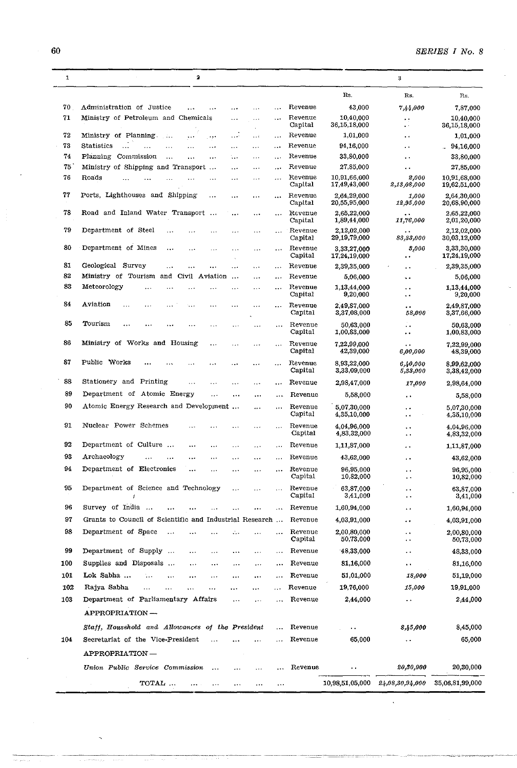$\hat{\mathcal{A}}$ 

L.

| $\mathbf{1}$ | $\mathbf{a}$                                                          |           |                    |                              | 3                                            |                              |
|--------------|-----------------------------------------------------------------------|-----------|--------------------|------------------------------|----------------------------------------------|------------------------------|
|              |                                                                       |           |                    | Rs.                          | Rs.                                          | Rs.                          |
| 70           | Administration of Justice<br>وبرد                                     | $\cdots$  | Revenue            | 43,000                       | 7,44.000                                     | 7,87,000                     |
| 71           | Ministry of Petroleum and Chemicals<br>.<br>$\cdots$<br>$\sim$        |           | Revenue<br>Capital | 10,40,000<br>36,15,18,000    | $\ddot{\phantom{0}}$<br>$\ddot{\phantom{1}}$ | 10,40,000<br>36,15,18,000    |
| 72           | Ministry of Planning.<br>بالأبار<br>$\cdots$<br>$\cdots$<br>$\ddotsc$ | $\cdots$  | Revenue            | 1,01,000                     | $\ddot{\phantom{0}}$                         | 1,01,000                     |
| 73           | Statistics<br><br>.                                                   | ولوار     | Revenue            | 94,16,000                    | $\ddot{\phantom{1}}$                         | 94,16,000                    |
| 74           | Commission<br>Planning<br>$\ddotsc$<br>$\ddotsc$<br>$\ddotsc$<br>.    |           | Revenue            | 33,80,000                    | . .                                          | 33,80,000                    |
| 75           | Ministry of Shipping and Transport<br>$\ddotsc$<br><br>.              |           | Revenue            | 27,85,000                    | . .                                          | 27,85,000                    |
| 76           | Roads<br>$\ddotsc$                                                    |           | Revenue<br>Capital | 10,91,66,000<br>17,49,43,000 | 2,000<br>2,13,08,000                         | 10.91,68,000<br>19,62,51,000 |
| 77           | Ports, Lighthouses and Shipping<br>$\cdots$<br>$\cdots$<br>           |           | Revenue<br>Capital | 2,64,29,000<br>20,55,95,000  | 1,000<br>12,95,000                           | 2,64,30,000<br>20,68,90,000  |
| 78           | Road and Inland Water Transport<br>$\sim$<br>$\ddotsc$                |           | Revenue<br>Capital | 2,65,22,000<br>1,89,44,000   | 11,76,000                                    | 2,65,22,000<br>2,01,20,000   |
| 79           | Department of Steel<br>.<br>.                                         |           | Revenue<br>Capital | 2.12,02,000<br>29,19,79,000  | 83, 33, 000                                  | 2,12,02,000<br>30,03,12,000  |
| 80           | Department of Mines<br><br>.<br>.                                     | $\ddotsc$ | Revenue<br>Capital | 3,33,27,000<br>17,24,19,000  | 3,000<br>. .                                 | 3,33,30,000<br>17,24,19,000  |
| 81           | Survey<br>Geological<br>.<br>.                                        | $\cdots$  | Revenue            | 2,39,35,000                  | . .                                          | 2,39,35,000                  |
| 82           | Ministry of Tourism<br>and<br>Civil Aviation<br>$\ddotsc$<br>.        |           | Revenue            | 5,06,000                     | $\ddot{\phantom{a}}$                         | 5,06,000                     |
| 83           | Meteorology<br>.<br>                                                  |           | Revenue<br>Capital | 1,13,44,000<br>9,20,000      | . .<br>. .                                   | 1,13,44,000<br>9,20,000      |
| 84           | Aviation<br>.<br>$\ddotsc$                                            |           | Revenue<br>Capital | 2,49,87,000<br>3,37,08,000   | $\cdot$ $\cdot$<br>58,000                    | 2,49,87,000<br>3,37,66,000   |
| 85           | Tourism<br>$\ddotsc$<br>.                                             |           | Revenue<br>Capital | 50,63,000<br>1,00,83,000     | . .<br>$\ddot{\phantom{1}}$                  | 50,63,000<br>1,00,83,000     |
| 86           | Ministry of Works and Housing<br><br>.                                |           | Revenue<br>Capital | 7,22,99,000<br>42,39,000     | 6,00,000                                     | 7,22,99,000<br>48,39,000     |
| 87           | Public Works<br>.<br>.                                                |           | Revenue<br>Capital | 8,93,22,000<br>3,33,09,000   | 6,40,000<br>5,88,000                         | 8,99,62,000<br>3,38,42,000   |
| 88           | Stationery and Printing<br>.<br><br>.                                 |           | Revenue            | 2,98,47,000                  | 17,000                                       | 2,98,64,000                  |
| 89           | Department of Atomic Energy                                           |           | Revenue            |                              |                                              |                              |
|              | $\ddotsc$<br>$\ddotsc$<br>.                                           |           |                    | 5,58,000                     | $\ddot{\phantom{1}}$                         | 5,58,000                     |
| 90           | Atomic Energy Research and Development<br>424                         |           | Revenue<br>Capital | 5,07,30,000<br>4,35,10,000   |                                              | 5,07,30,000<br>4,35,10,000   |
| 91           | Nuclear Power Schemes                                                 |           | Revenue<br>Capital | 4,04,96,000<br>4,83,32,000   | $\ddot{\phantom{0}}$<br>$\ddot{\phantom{1}}$ | 4,04,96,000<br>4,83,32,000   |
| 92           | Department of Culture<br><br>.                                        |           | Revenue            | 1,11,87,000                  | . .                                          | 1,11,87,000                  |
| 93           | Archaeology<br>.<br>$\ddotsc$<br><br><br>.<br>.                       |           | Revenue            | 43,62,000                    | . .                                          | 43,62,000                    |
| 94           | Department of Electronics<br><br><br>.<br>.                           |           | Revenue<br>Capital | 96,95,000<br>10,82,000       | $\ddot{\phantom{0}}$<br>$\ddot{\phantom{1}}$ | 96,95,000<br>10,82,000       |
| 95           | Department of Science and Technology<br>$\ddotsc$<br>$\ddotsc$        | $\cdots$  | Revenue<br>Capital | 63,87,000<br>3,41,000        | $\ddot{\phantom{0}}$<br>. .                  | 63,87,000<br>3,41,000        |
| 96           | Survey of India<br>                                                   |           | Revenue            | 1,60,94,000                  | $\ddot{\phantom{1}}$                         | 1,60,94,000                  |
| 97           | Grants to Council of Scientific and Industrial Research               |           | Revenue            | 4,03,91,000                  |                                              |                              |
|              |                                                                       |           |                    |                              | $\ddot{\phantom{1}}$                         | 4,03,91,000                  |
| 98           | Department of Space                                                   |           | Revenue<br>Capital | 2,00,80,000<br>50,73,000     | $\ddot{\phantom{1}}$<br>. .                  | 2,00,80,000<br>50,73,000     |
| 99           | Department of Supply<br>$\cdots$<br><br>$\ddotsc$<br>$\cdots$         |           | Revenue            | 48,33,000                    | $\ddot{\phantom{1}}$                         | 48,33,000                    |
| 100          | Supplies and Disposals<br>$\cdots$<br><br>.<br>                       |           | Revenue            | 81,16,000                    | $\ddot{\phantom{0}}$                         | 81,16,000                    |
| 101          | Lok Sabha<br>.<br>.<br>                                               |           | Revenue            | 51,01,000                    | 18,000                                       | 51,19,000                    |
| 102          | Rajya Sabha<br>$\cdots$<br>$\ddotsc$<br><br>i se<br>.                 |           | Revenue            | 19,76,000                    | 15,000                                       | 19,91,000                    |
| 103          | Department of Parliamentary Affairs<br>.<br>$\ddotsc$                 |           | Revenue            | 2,44,000                     |                                              | 2,44,000                     |
|              | APPROPRIATION-                                                        |           |                    |                              |                                              |                              |
|              | Staff, Household and Allowances of the President                      |           | Revenue            | $\ddot{\phantom{0}}$         | 8,45,000                                     | 8,45,000                     |
| 104          | Secretariat of the Vice-President                                     |           | Revenue            | 65,000                       |                                              | 65,000                       |
|              | APPROPRIATION-                                                        |           |                    |                              |                                              |                              |
|              | Union Public Service Commission                                       |           | Revenue            |                              | 20,30,000                                    | 20,30,000                    |
|              | TOTAL<br>$\cdots$<br>                                                 | .         |                    | 10,98,51,05,000              | 24,08,30,94,000                              | 35,06,81,99,000              |

60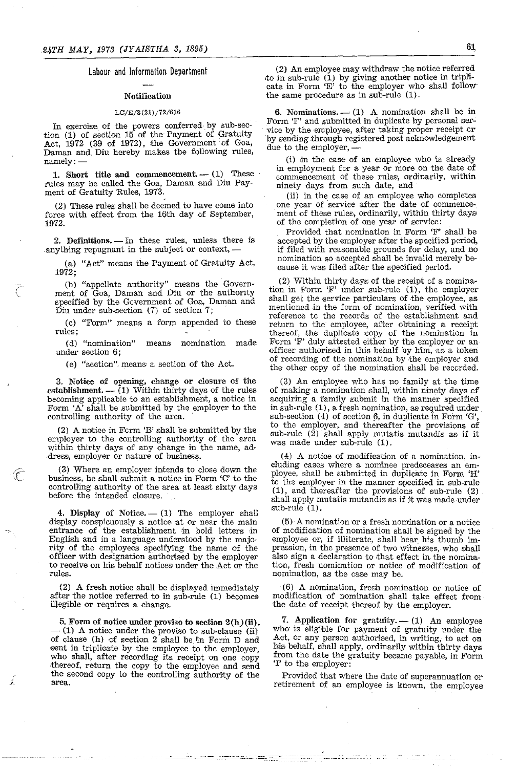Labour and Information Department

# Notification

# *LC/E/3(21)/72/616*

In exercise of the powers conferred by sub-section (1) of section 15 of the Payment of Gratuity Act,  $1972$  (39 of 1972), the Government of Goa, Daman and Diu hereby makes the following rules, namely:-

1. Short title and commencement.  $-$  (1) These rules may be called the Goa, Daman and Diu Payment of Gratuity Rules, 1973.

(2) These rules: shall be deemed to have come into force with effect from the 16th day of September, 1972.

2. Definitions. - In these rules, unless there is anything repugnant in the subject or context,-

(a) "Act" means the Payment of Gratuity Act, 1972;

(b) "appellate authority" means the Government of Goa, Daman and Diu or the authority specified by the Government of Goa, Daman and Diu under sub-section (7) of section 7;

(c) "Form" means a form appended to these **rules;** 

(d) "nomination" means nomination made under section 6;

(e) "sectien". means a section of the Act.

3. Notice of opening, change or closure of the establishment.  $-$  (1) Within thirty days of the rules becoming applicable to an establishment, a notice in Form 'A' shall be submitted by the employer to the controlling authority of the area. .

(2) A notice in Ferm 'B' shall be submitted by the employer to the controlling authority of the area within thirty days of any change in the name, address, employer or nature of business.

(3) Where an emplcyer intends to close down the business, he shall submit a notice in Form 'C' to the controlliing authority of the area at least sixty days before the intended closure.

G

4. Display of Notice.  $- (1)$  The employer shall display conspicuously a nctice at or near the main entrance of the establishment in bold letters in English and in a language understood by the majority of the employees specifying the name of the officer with designation authorised by the employer to receive on his behalf notices under the Act or the rules.

(2) A fresh notice shall be displayed immediately a£ter the notice referred to in sub-rule (1) becomes illegible or requires a change.

5. Form of notice under proviso to section  $2(h)(ii)$ .<br>- (1) A notice under the proviso to sub-clause (ii) of clause (h) cf section 2 shall be lin Form D and sent in triplicate by the employee to the employer, who shall, after recording its, receipt on one copy thereof, return the copy to the employee and send the second copy to the controlling authority of the area.

(2) An employee may withdraw the notice referred to in sub-rule (1) by giving another notice in triplicate in Form 'E' to the employer who shall follow the same procedure as in sub-rule (1).

6. Nominations.  $- (1)$  A nomination shall be in Form 'F' and submitted in dupiicate by personal service by the employee, after taking proper receipt er by sending through registered post acknowledgement due to the employer,

(i) in the case of an employee who 'is already in employment for a year or more on the date of commencement of these rules, ordinarily, within ninety days from such date, and

(ii) in the case of an employee who completes one year of service after the date of commencement of these rules, ordinarily, within thirty days of the completion of one year of service:

Provided that nomination in Form 'F' shall be accepted by the employer after the specified period, if filed with reasonable grounds for delay, and no nomination so accepted shall be invalid merely because it was filed after the specified period.

(2) Within thirty days, of the receipt cf a nomination in Form 'F' under sub-rule (1), the employer shall get the service particulars of the employee, as mentioned in the form of nomination, verified with reference to the records of the establishment and return to the employee, after obtaining a receipt thereof, the duplicate copy of the nomination in Form 'F' duly attested either by the employer or an officer authorised in this behalf by h'im, as a token of recording of the nomination by the employer and the other copy of the nomination shall be recerded.

(3) An employee who has no family at the time of making a nomination shall, within ninety days cf acquiring a family submit in the manner specified in sub-rule  $(1)$ , a fresh nomination, as required under sub-section  $(4)$  of section  $6$ , in duplicate in Form 'G', to the employer, and thereafter the provisions of sub-rule  $(2)$  shall apply mutatis mutandis as if it was made under sub-rule (1).

(4) A notice of modification of a nomination, including cases where a nominee predeceases an employee, shall be submitted in duplicate in Form 'H' to the employer in the manner specified in sub-rule  $(1)$ , and thereafter the provisions of sub-rule  $(2)$ shall apply mutatis mutandis as if it was made under sub-rule  $(1)$ .

(5) A nomination or a fresh nom'ination or a notice of modification of nomination shall be signed by the employee or, if illiterate, shall bear his thumb impression, in the presence of two witnesses, who shall also sign a declaration to that effect in the nominatien, fresh nomination or notice of modification of **nomination, as the case may be.** 

(6) A nomination, fresh nomination or notice of modification of nomination shall take effect from the date of receipt thereof by the employer.

7. Application for gratuity.  $- (1)$  An employee who' is eligible for payment of gratuity under the Act, or any person authorised, in writing, to act on his behalf, shall apply, ordinarily within thirty days from the date the gratuity became payable, in Form '1' to the employer:

Provided that where the date of superannuation or retirement of an employee is knovm, the employee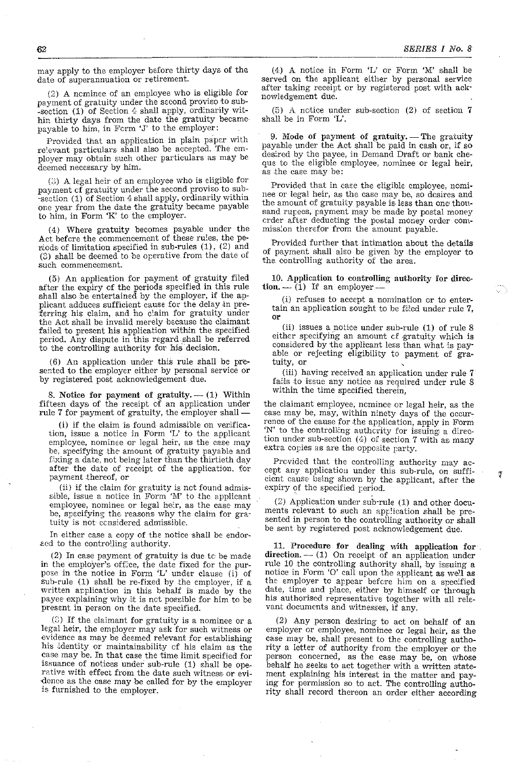may apply to the employer before thirty days of the date of superannuation or retirement.

(2) A neminee of an employee who is eligible for payment of gratuity under the second proviso to sub--section (1) of Section 4 shall apply, ordinarily within thirty days from the date the gratuity became payable to him, in Ferm 'J' to the employer:

Provided that an application in plain paper with re'evant particulars shall also be accepted. The employer may obtain such other particulars as may be deemed necessary by him.

(3) A legal heir of an employee who is eligible for payment cf gratuity under the second proviso to sub--section (1) of Section 4 shall apply, ordinarily within one year from the date the gratuity became payable to him, in Form *'K'* to the employer.

(4) Where gratuity becomes payable under the Act before the commencement of these rules, the periods of limitation specified in sub-rules  $(1)$ ,  $(2)$  and (3) shall be deemed to be operative from the date of such commencement.

(5) An application for payment of gratuity filed after the expiry cf the periods specified in this rule shall also be entertained by the employer, if the applicant adduces sufficient cause for the delay in preferring his claim, and no claim for gratuity under the Act shall be invalid merely because the claimant failed to present his application within the specified period. Any dispute in this regard.shall be referred to the controlling authority for his decision.

(6) An application under this rule shall be pre. sented to the employer either by personal service or by registered post acknowledgement due.

8. Notice for payment of gratuity.  $-$  (1) Within fifteen days of the receipt  $c\bar{f}$  an application under rule 7 for payment of gratuity, the employer shall-

(i) if the claim is found admissible on verification, issue a notice in Form  $'L'$  to the applicant emplcyee, nominee or legal heir, as the case may be, specifying the' amount of gratuity payable and fixing a date, not being later than the thirtieth day after the date of receipt of the application, for payment thereof, or

(ii) if the claim for gratuity is not found admis-**£,ible, issue a notice** *in* **Form '1\1' to the applicant**  employee, nominee or legal he'r, as the case may be, specifying the reasons why the claim for gratuity is not considered admissible..

In either case a copy of the notice shall be endor- ~cd to the controlling authority.

(2) In case payment of gratuity is due to be made in the employer's office, the date fixed for the pur-<br>pose in the notice in Form 'L' under clause (i) of sub-rule (1) shall be re-fixed by the employer, if a written application in this behalf is made by the payee explaining why it is net possible for him to be present in person on the date specified.

 $(3)$  If the claimant for gratuity is a nominee or a legal heir, the employer may ask for such witness or evidence as may be deemed relevant for establishing his identity or maintainability of his claim as the case may be. In that case the time limit specified for issuance of notices under sub-rule (1) shall be operative with effect from the date such witness or evidence as the case may be called for by the employer is furnished to the employer.

 $(4)$  A notice in Form 'L' or Form 'M' shall be served on the applicant either by personal service after taking receipt or by registered post with acknowledgement due.

(5) A nctice under sub-section (2) of section 7 shall be in Form 'L'.

9. Mode of payment of gratuity. - The gratuity payable under the Act shall be paid in cash or, if so desired by the payee, in Demand Draft or bank cheque to the eligible employee, nominee or legal heir, as the case may be:

Provided that in case the eligible employee, ncminee or legal heir, as the case may be, so desires and the amount of gratuity payable is less than one thousand rupees, payment may be made by postal money crder after deducting the postal money order commission therefor from the amount payable.

Provided further that intimation about the details of payment shall also he given by the employer to the controlling authority of the area.

10. Application to controlling authority for direc- $\text{tion.} - \text{1}$ ) If an employer-

(i) refuses to accept a nomination cr to entertain an application sought to be filed under rule 7, or

(ii) issues a notice under sub-rule (1) of rule 8 either specifying an amount of gratuity which is considered by the applicant less than what is payable or rejecting eligibility to payment of gratuity, or

(iii) having received an application under rule 7 fails to issue any notice as required under rule 8 within the time specified therein,

the claimant employee, neminee or legal heir, as the case may be, may, within ninety days of the occurrence of the cause for the application, apply in Form 'N' to the controlling authcrity for issuing a direction under sub-section  $(4)$  of section 7 with as many extra copies as are the opposite party.

Prcvided that the controlling authority may accept any application under this sub-rule, on sufficient cause being shown by the applicant, after the expiry of the specified period.

(2) Applicat:on under sub-rule (1) and other documents relevant to such an app:ication shall be presented in person to the controlling authority or shall be sent by registered post acknowledgement due.

11. Procedure for dealing with application for direction.  $-$  (1) On receipt of an application under rule 10 the controlling authority shall, by issuing a notice in Form '0' call upon the applicant as we'l as the employer to appear before him on a specified date, time and place, either by himself or through his authorised representative together with all relevant documents and witnesses, if any.

(.2) Any person desiring to act on behalf of an employer or employee, nominee or legal heir, as the case may be, shall present to the controlling authority a letter of authority from the employer or the person concerned, as the case may be, on whose behalf he seeks to act together with a written statement explaining his interest in the matter and paying for permission so to act. The controlling authority shall record thereon an order either according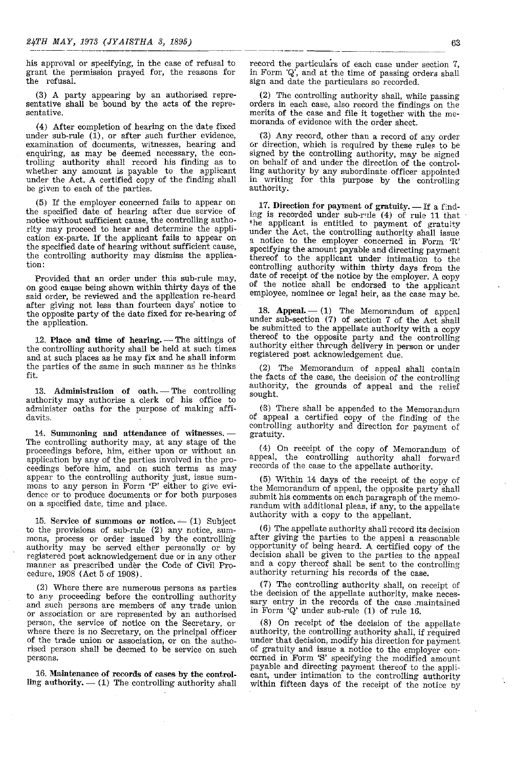his approval or specifying, in the case of refusal to grant the permission prayed for, the reasons for the refusal.

(3) A party appearing by an authorised representative shall be bound by the acts of the representative.

(4) After completion of hearing on the date fixed under sub-rule  $(1)$ , or after such further evidence, examination of documents, witnesses, hearing and enquiring, as may be deemed necessary, the controlling authority shall record his finding as to whether any amount is payable to the applicant under the Act. A certified copy of the finding shall be given to each of the parties.

(5) If the employer concerned fails to appear on the specified date of hearing after due service of notice without sufficient cause, the controlling authority may proceed to hear and determine the application ex-parte. If the applicant fails to appear on the specified date of hearing \vithout sufficient cause, the controlling authority may dismiss the application:

Provided that an order under this sub-rule may, on good cause being shown within thirty days of the said order, be reviewed and the application re-heard after giving not less than fourteen days' notice to the opposite party of the date fixed for re-hearing of the application.

12. Place and time of hearing.  $-$  The sittings of the controlling authority shall be held at such times and at such places as he may fix and he shall inform the parties of the same in such manner as he thinks fit.

13. Administration of oath. - The controlling authority may authorise a clerk of his office to administer oaths for the purpose of making affidavits,

14. Summoning and attendance of witnesses. -The controlling authority may, at any stage of the proceedings before, him, either upon or without an application by any of the parties involved in the proceedings before him, and on such terms as may appear to the controlling authority just, issue summons to any person in Form 'P' either to give evidence or to produce documents or for both purposes on a specified date, time and place.

15. Service of summons or notice.  $-$  (1) Subject to the provisions of sub-rule (2) any notice, summons, process or order issued by the controlling authority may be served either personally or by registered post acknowledgement due or in any other manner as prescribed under the Code of Civil Procedure, 1908 (Act 5 of 1908).

(2) Where there are numerous persons as parties to any proceeding before the controlling authority and such persons are members of any trade union or association or are represented by an authorised person, the service of notice on the Secretary, or where there is no Secretary, on the principal officer of the trade union or association, or on the authorised person shall be deemed to be service on such persons.

16. Maintenance of records of cases by the controlling authority.  $-$  (1) The controlling authority shall record the particulars of each case under section 7, in Form  $'Q'$ , and at the time of passing orders shall sign and date the particulars so recorded.

(2) The controlling authority shall, while passing orders in each case, also record the findings on the merits of the case and file it together with the memoranda of evidence with the order sheet.

('3) Any record, other than a record of any order or direction, which is required by these rules to be signed by the controlling authority, may be signed On behalf of and nnder the direction of the controlling authority by any subordinate officer appointed in writing for this purpose by the controlling authority.

17. Direction for payment of gratuity.  $-$  If a finding is recorded under sub-rule  $(4)$  of rule 11 that the applicant is entitled to payment of gratuity under the Act, the controlling authority shall issue a notice to the employer concerned in Form 'R' specifying the amount payable and directing payment thereof to the applicant under intimation to the controlling authority within thirty days from the date of receipt of the notice by the employer. A copy of the notice shall be endorsed to the applicant employee, nominee or legal heir, as the case may be.

18. Appeal.  $- (1)$  The Memorandum of appeal under sub-section (7) of section 7 of the Act shall be submitted to the appellate authority with a copy thereof to the opposite party and the controlling authority either through delivery in person or under registered post acknowledgement due.

(2) The Memorandum of appeal shall contain the facts of the case, the decision of the controlling authority, the grounds of appeal and the relief sought.

(3) There shall be appended to the Memorandum of appeal a certified copy of the finding of the controlling authority and direction for payment of gratuity.

(4) On receipt of the copy of Memorandum of appeal, the controlling authority shall forward records of the case to the appellate authority.

(5) Within 14 days of the receipt of the copy of the Memorandum of appeal, the opposite party shall submit his comments on each paragraph of the memorandum with additional pleas, if any, to the appellate authority with a copy to the appellant.

(6) The appellate authority shall record its decision after giving the parties to the appeal a reasonable opportunity of being heard. A certified copy of the decision shall be given to the parties to the appeal and a copy thereof shall be sent to the controlling authority returning his records of the case.

(7) The controlling authority shall, on receipt of the decision of the appellate authority, make necessary entry in the records of the case maintained in Form 'Q' under sub-rule (1) of rule 16.

(8) On receipt of the decision of the appellate authority, the controlling authority shall, if required under that decision, modify his direction for payment of gratuity and issue a notice to the employer concerned in Form 'S' specifying the modified amount payable and directing payment thereof to the applicant, under intimation to the controlling authority within fifteen days of the receipt of the notice by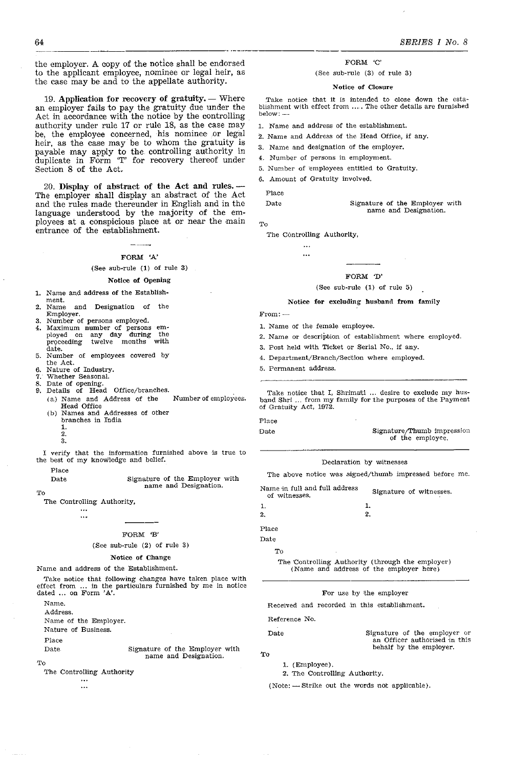the employer. A copy of the notice shall be endorsed to the applicant employee, nominee or legal heir, as the case may be and to the appellate authority.

19. Application for recovery of gratuity.  $-$  Where an employer fails to pay the gratuity due under the Act in accordance with the notice by the controlling authority under rule 17 or rule 18, as the case may be, the employee concerned, his nominee or legal heir, as the case may be to whom the gratuity is payable may apply to the controlling authority in duplicate in Form 'T' for recovery thereof under Section 8 of the Act.

20. Display of abstract of the Act and rules.-The employer shall display an abstract of the Act and the rules made thereunder in English and in the language understood by the majority of the employees at a conspicious place at or near the main entrance of the establishment.

# FORM 'A'

# (See sub-rule (1) of rule 3)

#### Notice of Opening

- 1. Name and address of the Establishment.<br>Name
- 2. Name and Designation of the Employer.
- 3. Number of persons employed.
- 4. Maximum number of persons em-<br>ployed on any day during the<br>proceeding twelve months with proceeding date.
- 5. Number of employees covered by the Act.
- 6. Nature of Industry.
- Whether Seasonal.
- 8. Date of opening.
- 9. Details of Head Office/branches. (a) Name and Address of the Number of employees. Head Office
	- (b) Names and Addresses of other branches in India
		- 1.
		- 2.

3.

- I verify that the information furnished above is true to the best of my knowledge and belief.
	- Place

Date Signature of the Employer with name and Designation.

To

The Controlling Authority,

 $\ddotsc$  $\ddotsc$ 

#### FORM 'B'

#### (See sub-rule (2) of rule 3)

# Notice of Change

Name and address of the Establishment.

Take notice that following changes have taken place with effect from ... in the particulars furnished by me in notice dated ... on Form 'A'.

Name.

Address.

Name of the Employer.

Nature of Business.

Place

Date Signature of the Employer with name and Designation.

 $Tc$ 

The Controlling Authority

...  $\ddotsc$  FORM 'C'

#### (See sub-rule (3) of rule 3)

#### Notice of Closure

.Take notice that it is intended to close down the establishment with effect from .... The other details are furnished below: -

- 1. Name and address of the establishment.
- 2. Name and Address of the Head Office, if any.
- 3. Name and designation of the employer.
- 4. Number of persons in employment.
- 5. Number of 'employees entitled to Gratuity.
- 6. Amount of Gratuity involved.

Place

| Date |  | Signature of the Employer with |  |
|------|--|--------------------------------|--|
|      |  | name and Designation.          |  |

To

The Controlling Authority, ...

 $\ddotsc$ 

# FORM 'D'

#### (See sub-rule (1) of rule 5)

Notice for excluding husband from family

 $From: -$ 

- 1. Name of the female employee.
- 2. Name or description of establishment where employed.
- 3. Post held with Ticket or Serial No., if any.
- 4. Department/Branch/Section where employed.
- 5. Permanent address.

Take notice that I, Shrimati ... desire to exclude my husband Shri ... from my family for the purposes of the Payment of Gratuity Act, 1972.

Date Signature/Thumb impression

of the employee.

behalf by the employer.

## Declaration by witnesses

The above notice was signed/thumb impressed before me.

| of witnesses. | Signature of witnesses. |
|---------------|-------------------------|
| 1.            |                         |
| 2.<br>2.      |                         |

Place Date

To

The 'Controlling Authority (through the employer) (Name and address of the employer here)

#### For use by the employer

Received and recorded in this establishment.

Reference No.

Date Signature of the employer or an Officer authorised 'in this

- To
	- 1. (Employee).

'2. The Controlling Authority.

(Note: --- Strike out the words not applicable).

64

Flace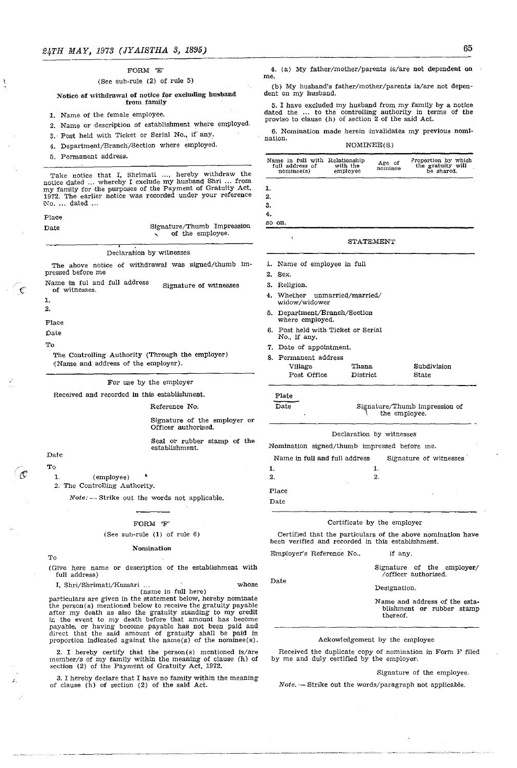# FORM 'E' (See sub-rule (2) of rule 5)

# Notice of withdrawal of notice for excluding husband from family

- 1. Name of the female employee.
- 2. Name or description of establishment where employed.
- 3. Post held with Ticket or Serial No., if any.
- 4. Department/Branch/Section where employed.
- 5. Permanent address.

Take notice that I, Shrimati ..., hereby withdraw the notice dated ... whereby I exclude my husband Shri ... from my family for the purposes of the Payment of Gratuity Act, 1972. The earlier notice was recorded under your reference No. ... dated ...

#### Place

| Date |  |  | Signature/Thumb Impression |
|------|--|--|----------------------------|
|      |  |  | of the employee.           |

#### Declarabion by witnesses

The above notice of withdrawal was signed/thumb Impressed before me

Name in ful and full address of witnesses. Signature of witnesses

1.

 $\mathcal C$ 

2,

Place

Date

To

The Controlling Authority (Through the employer) '(Name and address of the employer).

## For use by the employer

Received and recorded in this establishment.

Reference No.

Signature of the employer or Officer authorised.

Seal or rubber stamp of the establishment.

# Date

To

1. (employee)

2. The Controlling Authority.

*Note:* - Strike out the words not applicable.

#### FORM 'F'

#### (See sub~rule (1) of rule 6)

#### Nomination

To

(Give here name or description of the establishment with full address)

I, Shri/Shrimati/Kumari ... whose (name in full here)

particulars are given in the statement below, hereby nominate the person(s) mentioned below to receive the gratuity payable after my death as also the gratuity standing to my credit ir. the event to my death before that amount has become payable, or having become payable has not been paid and direct that the said amount of gratuity shall be paid in proportion indicated against the name(s) of the nominee(s).

2. I hereby certify that the person(s) mentioned is/are member/s of my family within the meaning of clause (h) of section (2) of the Payment of Gratuity Act, 1972.

3. I hereby declare that I have no family within the meaning of clause (h) of section (2) of the said Act.

4. (a) My father/mother/parents is/are not dependent on

(b) My husband's father/mother/parents is/are not dependent on my husband.

5. I have excluded my husband from my family by a notice dated the ... to the controlling authority in terms of the provIso to clause (h) of section 2 of the said Act.

6. Nomination made herein invalidates my previous nomination.

## NOMINEE(S)

| Name in full with Relationship<br>full address of<br>nominee(s) | with the<br>employee       | Age of<br>nominee | Proportion by which<br>the gratuity will<br>be shared. |
|-----------------------------------------------------------------|----------------------------|-------------------|--------------------------------------------------------|
| 1.                                                              |                            |                   |                                                        |
| 2.                                                              |                            |                   |                                                        |
| 3.                                                              |                            |                   |                                                        |
| 4.                                                              |                            |                   |                                                        |
| so on.                                                          |                            |                   |                                                        |
| 1                                                               |                            | STATEMENT         |                                                        |
| i. Name of employee in full                                     |                            |                   |                                                        |
| 2.<br>Sex.                                                      |                            |                   |                                                        |
| 3.<br>Religion.                                                 |                            |                   |                                                        |
| 4.<br>widow/widower                                             | Whether unmarried/married/ |                   |                                                        |
| 5.<br>where employed.                                           | Department/Branch/Section  |                   |                                                        |

- 6. Post held with Ticket or Serial No., if any.
- 7, Date of appointment.
- 8, Permanent address

| Village     | Thana    | Subdivision |
|-------------|----------|-------------|
| Post Office | District | State       |

# Plate

me.

Date Signature/Thumb impression of the employee.

#### Declaration by witnesses

Nomination signed/thumb impressed before me.

Name in full and full address 1. 2, l. 2. Signature of witnesses

Certificate by the employer

Certified that the particulars of the above nomination have been verified and recorded in this establishment.

Employer's Reference No.,

Signature of the employer/ /officer authorised.

Date

Place Date

Designation.

if any.

Name and address of the establishment or rubber stamp thereof.

## Ackowledgement by the employee

Received the duplicate copy of nomination in Form F filed by me and duly certified by the employer.

#### Signature of the employee.

*Note.* - Strike out the words/paragraph not applicable.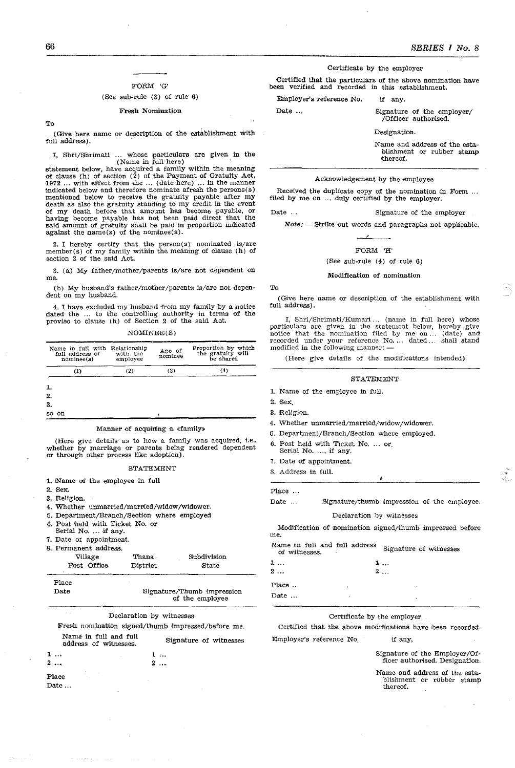#### FORM 'G'

## (See sub-rule  $(3)$  of rule  $6)$

#### Fresh Nomination

To

(Give here name or description of the establishment with full address).

I. Shri/Shrimati ... whose particulars are given in the (Name in full here)

statement below. have acquired a family within the meaning of clause (h) of seetrion (2) of the Payment of Gratuity Act. 1972 ... with effect from the ... (date here) ... in the manner 'indicated below 'and therefore nominate afresh the persons(s) mentioned below to receive the gratuiity payable after my death as also the gratuity standing to my credit in the event of my death before that amount has become payable, or having become payable has not been paJid direct that the said amount of gratuity shall be paid in proportion indicated against the name(s) of the nominee(s).

2. I hereby certify that the person(s) nominated is/are member(s) of my family within the meaning of clause (h) of section 2 of the said Act.

3. (a) My father/mother/parents is/are not dependent on me.

(b) My husband's father/mother/parents is/are not dependent on my husband.

4. I have excluded my husband from my family by a notice dated the ... to the controlling authority in terms of the proviso to clause (h) of Section 2 of the said Act.

NOMINEE(S)

| Name in full with Relationship<br>full address of<br>nominee(s) | with the<br>employee | Age of<br>nominee | Proportion by which<br>the gratuity will<br>be shared |
|-----------------------------------------------------------------|----------------------|-------------------|-------------------------------------------------------|
| $\left(1\right)$                                                | (2)                  | (3)               | (4)                                                   |
| 1.                                                              |                      |                   |                                                       |
| 2.                                                              |                      |                   |                                                       |
| 3.                                                              |                      |                   |                                                       |
| on<br>so                                                        |                      |                   |                                                       |

#### Manner of acquiring a «family»

(Here give details as to how a family was acquired, i.e., whether by marriage or parents being rendered dependent or through other process like adoption).

#### STATEMENT

- 1. Name of the employee in full
- 2. Sex.
- 3. Religion.
- 4. Whether unmarried/married/widow/widower.
- 5. Department/Branch/Section where employed
- 6. Post held with Ticket No. or Serial No. ... if any.
- 
- 7. Date ot appointment.
- 8. Permanent address.

| Village       | Thana    | Subdivision                                   |
|---------------|----------|-----------------------------------------------|
| Post Office   | District | State                                         |
| Place<br>Date |          | Signature/Thumb impression<br>of the employee |

Declaration by witnesses

Fresh nomination signed/thumb impressed/before me. Name' in fu1l and full

| renne in run ann run<br>address of witnesses. | Signature of witnesses |
|-----------------------------------------------|------------------------|
| 1                                             | 1                      |
| 2.                                            | 2                      |
|                                               |                        |

Place Date ... Certificate by the employer

Certified that the particulars of the above nomination have been verified and recorded in this establishment.

Employer's reference No. if any.

Date ... Signature of the employer/ /Officer authorised.

Designation.

Name and address of the establishment or rubber stamp thereof.

#### Acknowledgement by the employee

Received the duplicate copy of the nomination in Form ... filed by me on ... duly certified by the employer.

Date ... Signature of the employer

*Note:* - Strike out words and paragraphs not applicable.

 $\overline{\phantom{a}}$ 

FORM 'H'

(See sub-rule (4) of rule 6)

# Modification of nomination

#### To

(Give here name or description of the establishment with full address).

I, Shri/Shrimati/Kumari... (name in full here) whose particulars are given in the statement below, notice that the nomination filed by me on...<br>recorded under your reference No... dated ...<br>modified in the following manner: hereby give (date) and shall stand

(Here give details of the modifications intended)

#### STATEMENT

- 1. Name of the employee in full.
- 2. Sex.
- 3. Religion.
- 4. Whether unmarried/married/widow /widower.
- 5. Department/Branch/Sectlon where employed.
- 6. Post held with Ticket No. or.
- Serial No. ..., if any.
- 7. Date of appoin'tment.
- 3. Address in full.

Place ...

Date ... Signature/thumb impression of the employee.

#### Declaration by witnesses

Modification of nomination signed/thumb impressed before me.

Name in full and full address Signature of witnesses of witnesses.

| a<br>2 |   | 3<br>2 |
|--------|---|--------|
| Place  | ٠ |        |
| Date   | ٠ |        |

# Certificate by the employer

Certified that the above modifications have been recorded. Employer's reference No. if any,

Signature of the Employer/Officer authorised. Designation.

Name and address of the establishment or rubber stamp thereof.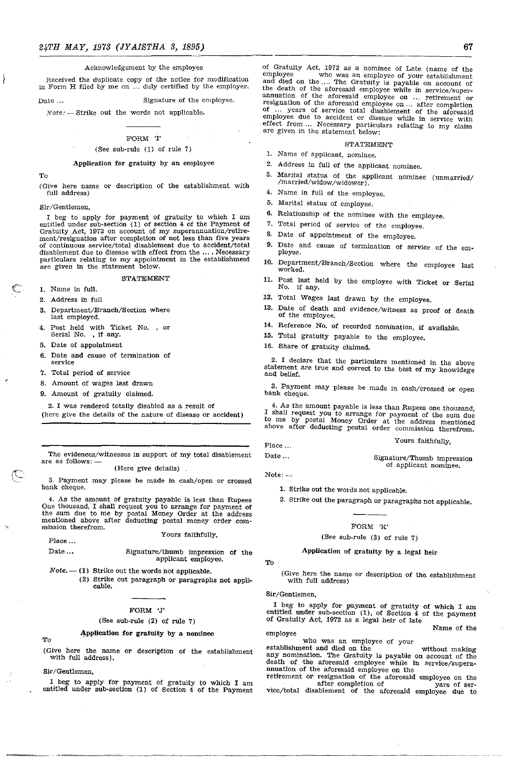# Acknowledgement by the employee

Received the duplicate copy of the notice for modification in Form H filed by me on ... duly certified by the employer.

Date ... Signature of the employee.

Note: ~ Strike out the words not applicable.

#### FORM '1'

#### (See sub-rule (1) of rule 7)

#### Application for gratuity by an employee

To

€

(Give here name or description of the establishment with full address)

Sir/Gentlemen,

I beg to apply for payment of gratuity to which I am entitled under sub-section (1) of section 4 of the Payment of Gratuity Act, 1972 on account of my superannuation/retirement/resignation after completion of not less than five years of continuous service/total disablement due to accident/total disablement due to disease with effect from the .... Necessary particulars relating to my appointment in the establishment are given in the statement below.

#### STATEMENT

1. Name in full.

- 2. Address in full
- 3. Department/Branch/Section where last employed.
- 4. Post held with Ticket No. , or Serial No. ,if any.
- 5. Date of appointment
- 6. Date and cause of termination of service
- 7. Total period of service
- 8. Amount of wages last drawn
- 9. Amount of gratuity claimed.

2. I was rendered totally disabled as a result of (here give the details of the nature of disease or accident)

The evidences/witnesses in support of my total disablement are as follows:  $-$  (Here give details)

3. Payment may please be made in cash/open or crossed bank cheque.

4. As the amount of gratuity payable is less than Rupees One thousand, I shall request you to arrange for payment of the sum due to me by postal Money Order at the address mentioned above after deducting postal money order com- mission therefrom.

#### Yours faithfully,

Place ... Date ...

Signature/thumb impression of the applicant employee.

- $Note. (1)$  Strike out the words not applicable.
	- (2) Strike out paragraph or paragraphs not applicable.

#### FORM 'J'

#### (See sub-rule (2) of rule 7)

~pplication **for** gratuity by a nominee

To

(Give here the name or description of the establishment with full address).

Sir/Gentlemen.

I beg to apply for payment of gratuity to which I am entitled under sub-section (1) of Section  $4$  of the Payment of Gratuity Act, 1972 as a nominee of Late (name of the employee who was an employee of your establishment and died on the .... The Gratuity is payable on account of the death of the aforesaid employee while in service/superannuation of the aforesaid employee on ... retirement or resignation of the aforesaid employee on ... after completion of ... years of service total disablement of the aforesaid employee due to accident or disease while in service with effect from... Necessary particulars relating to my claim are given in the statement below:

STATEMENT

- 1. Name of applicant, nominee.
- 2. Address in full of the applicant nominee.
- 3. Marital status of the applicant nominee (unmarried/ /married/widow/widower).
- 4. Name in full of the employee.
- 5. Marital status of employee.
- 6. Relationship of the nominee with the employee.
- 7. Total period of service of the employee.
- 8. Date of appointment of the employee.
- 9. Date and cause of termination of service of the employee.
- 10. Department/Branch/Section where the employee last worked.
- 11. Post last held by the employee with Ticket or Serial No. if any.
- 12. Total Wages last drawn by the employee.
- 13. Date of death and evidence/witness as proof of death of the employee.
- 14. Reference No. of recorded nomination, if available.
- 15. Total gratuity payable to the employee.
- 16. Share of gratuity claimed.

2. I declare that the particulars mentioned in the above statement are true and correct to the best of my knowldege and belief.

3. Payment may please be made in cash/crossed or open bank cheque.

4. As the amount payable is less than Rupees one thousand, I shall request you to arrange for payment of the sum due to me by postal Money Order at the address mentioned above after deducting postal order commission therefrom.

Yours faithfully,

Signature/Thumb impression of applicant nominee.

Place ... Date ...

 $Note: -$ 

1. Strike out the words not applicable.

2. Strike out the paragraph or paragraphs not applicable.

#### FORM 'K'

#### (See sub-rule (3) of rule 7)

#### Application of gratuity by a legal heir

To

(Give here the name or description of the establishment with full address)

Sir/Gentlemen,

I beg to apply for payment of gratuity of which I am entitled under sub-section  $(1)$ , of Section 4 of the payment of Gratuity Act, 1972 as a legal heir of late Name of the

employee

who was an employee of your

establishment and died on the without making any nomination. The Gratuity is payable on account of the death of the aforesaid employee while in service/superannuation of the aforesaid employee on the

retirement or resignation of the aforesaid employee on the after completion of the yars of service/total disablement of the aforesaid employee due to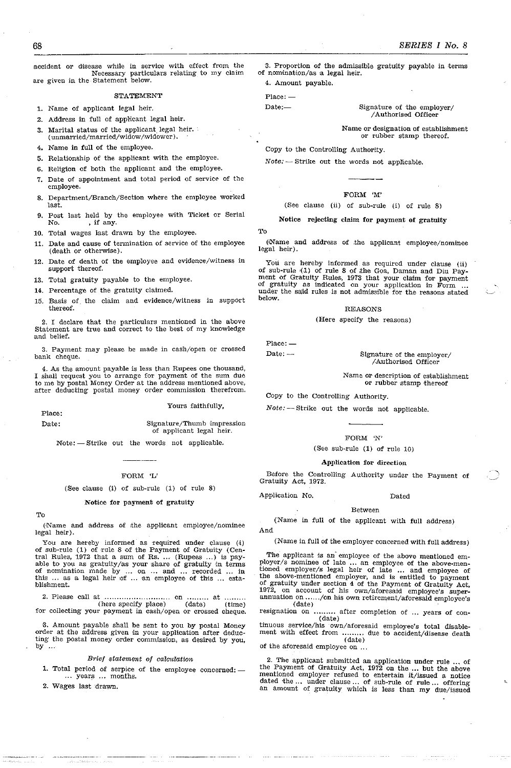accident or disease while in service with effect from the Necessary particulars relating to my claim are given in the Statement below.

**STATEMENT** 

1. Name of applicant legal heir.

- 2. Address in full of applicant legal heir.
- 3. Marital status of the applicant legal heir. (unmarried/married/widow/widower).
- 4. Name in full of the employee.
- 5. Relationship of the applicant with the employee.
- 6. Religion of both the applicant and the employee.
- 7. Date of appointment and total period of service of the employee.
- S. Department/Branch/Section where the employee worked last.
- 9. Post last held by the employee with Ticket or Serial No.  $\qquad$ , if any. , if any.
- 10. Total wages last drawn by the employee.
- 11. Date and cause of termination of service of the employee (death or otherwise).
- 12. Date of death of the employee and evidence/witness in support thereof.
- 13. Total gratuity payable to the employee.
- 14. Percentage of the gratuity claimed.
- 15. Basis of \_ the claim and evidence/witness in support thereof.

2. I declare that the particulars mentioned in the above Statement are true and correct to the best of my knowledge and belief.

3. Payment may please be made in cash/open or crossed bank Cheque.

4. As the amount payable is less than Rupees one thousand, I shall request you to arrange for payment of the sum due to me by postal Money Order at the address mentioned above, after deducting postal money order commission therefrom.

#### Yours faithfully,

Place: Date:

Signature/Thumb impression of applicant legal heir.

Note: - Strike out the words not applicable.

# FORM 'L'

(See clause (i) of sub-rUle (1) of rule 8)

#### Notice for payment of gratuity

To

(Name and address of the applicant employee/nominee legal heir).

You are hereby informed as required under clause (i) of sub-rule (1) of rule 8 of the Payment of Gratuity (Central Rules,  $1972$  that a sum of Rs. ... (Rupees ...) is payable to you as gratuity/as your share of gratuity in terms of nomination made by ... on ... and ... recorded ... in this ... as a legal heir of ... an employee of this ... establishment.

2. Please call at ............................ on ......... at ........ . (here specify place) (date) (time) for collecting your payment in cash/open or crossed cheque.

G. Amount payable shall be sent to you by postal Money order at the address given in your application after deducting the postal money order commission, as desired by you, by ...

# Brief statement oj calculation

1. Total period of serpice of the employee concerned:  $-$  ... years ... months.

2. Wages last drawn.

3. Proportion of the admissible gratuity payable in terms of nomination/as a legal heir.

4. Amount payable.

Place: -

Date:-- Signature of the employer/ / Authorised Officer

Name or designation of establishment or rubber stamp thereof.

Copy to the Controlling Authority.

 $Note: -$  Strike out the words not applicable.

#### FORM 'M'

#### (See clause (ii) of sub-rule (i) of rule 8)

Notice rejecting claim **for** payment of gratuity

To

(Name and address of the applicant employee/nominee legal heir).

You are hereby informed as required under clause (ii) of sub-rule {1} of rule 8 of Ithe Goa, Daman and Diu Payment of Gratuity Rules, 1973 that your clalim for payment of gratuity as indicated on your application in Form ... under the saJid rules Is not admissible for the reasons stated under the said rules is not admissible for the reasons stated<br>below.

#### REASONS

(Here specify the reasons)

Place: - $Date: -$ 

Signature of the employer/ /Authorised Officer

Name or description of establishment or rubber stamp thereof

Copy to the Controlling Authority.

Note: - Strike out the words not applicable.

FORM 'N'

(See sub-rule (1) of rule 10)

#### Application for direction

Before the ContrOlling Authority under the Payment of Gratuity Act, 1972.

Application No. Dated

#### Between

(Name in full of the applicant with full address) And

(Name in full of the employer concerned with full address)

The applicant is an employee of the above mentioned em-<br>ployer/s nominee of late ... an employee of the above-mentioned employer/s legal heir of late ... and employee of the above-mentioned employer, and is entitled to payment of gratuity under section 4 of the Payment of Gratuity Act. 1972. on account of his own/aforesaid employee's superannuation on ...... /on his own retirement/aforesaid employee's

 ${\rm (date)}\\ {\rm resignation~on}~~.$ resignation on ......... after completion of ... years of con-<br>(date)

tinuous service/his own/aforesaid employee's total disablement with effect from ......... due to accident/disease death (date)<br>of the aforesaid employee on ...

2. The applicant submitted an application under rule ... of the Payment of Gratuity Act, 1972 on the ... but the above mentioned employer refused to entertain it/issued a notice dated 'the... under clause ... of sub-rule of rule ... offering an amount of gratuity which is less than my due/issued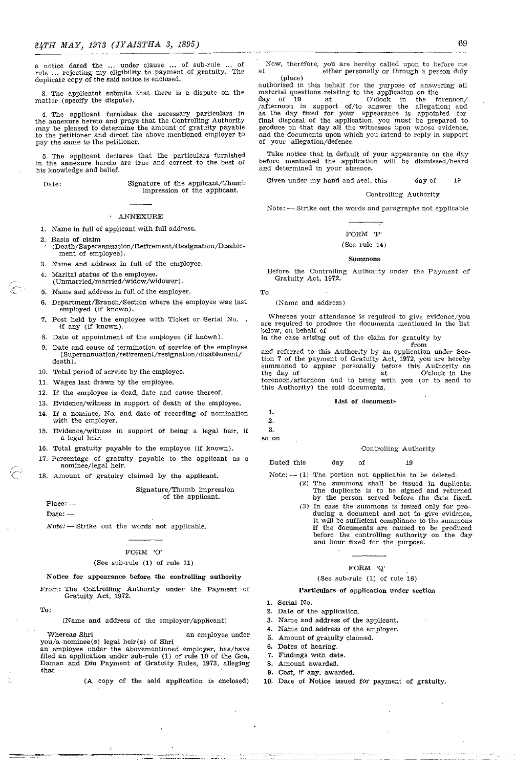a notice dated the ... under clause ... of sub-rule .. of rule ... rejecting my eligibility to payment of gratuity. The duplicate copy of the said notice is enclosed.

3. The applicatnt submits that there is a dispute on the matter (specify the dispute).

4. The applicant furnishes the necessary particulars in the annexure hereto and prays that the Controlling Authority may be pleased to determine the amount of gratuity payable to the petitioner and direct the above mentioned employer to pay the same to the petitioner.

5. The applicant declares that the particulars furnished in the annexure hereto are true and correct to the best of his knowledge and belief.

 $\subset$ 

Date: Signature of the applicant/Thumb impression of the applicant.

#### ANNEXURE

- 1. Name in full of applicant with full address.
- 2. Basis of claim (Death/Superannuation/Retirement/Resignation/Disablement of employee).
- 3. Name and address in full of the employee.
- 4. Marital status of the employee. (Unmarried/married/widow /widower).
- 5. Name and address in full of the employer.
- 6. Department/Branch/Section where the employee was last employed (if known).
- 7. Post held by the employee with Ticket or \Serial No. -if any ·(if known).
- 8. Date of appointment of the employee (if known).
- 9. Date and cause of termination of service of the employee  ${\bf (Superanuation/retirement/resignation/disablement/}$ death).
- 10. Total period of service by the employee.
- 11. Wages last drawn by the employee.
- 12. If the employee is dead, date and cause thereof.
- 13. Evidence/witness in support of death of the employee.
- 14. If a nominee, No. and date of recording of nomination with the employer.
- 15. Evidence/witness in support of being a legal heir, if a legal heir.
- 16. Total gratuity payable to the employee (if known).
- 17. Percentage of gratuity payable to the applicant as a nominee/legal heir.
- 18. Amount of gratuity claimed by the applicant.

Signature/Thumb impression

of the applicant.

#### $Place: -$

 $Date: -$ 

 $Note:$  -Strike out the words not applicable.

#### FORM 'O'

#### (See sub·rule (1) of rule 11)

#### Notice for appearance before the controlling authority

From: The ContrOlling Authority under the Payment of Gratuity Act, 1972.

To:

ŧ

(Name and address of the employer/applicant)

Whereas Shri an employee under you/a -nominee(s) legal heir(s) of Shri an employee under the abovementioned employer, has/have filed an application under sub-rule (1) of rule 10 of the Goa, Daman and Diu Payment of Gratuity Rules, 1973, alleging that-

(A copy of the said application is enclosed)

Now, therefore, you are hereby called upon to before me at either personally or through a person duly (place)

authorised in this behalf for the purpose of answering all material questions relating to the application on the day of  $19$  at  $O$ 'clock in the forenoon/ /afternoon in support of/to answer the allegation; and as the day fixed for your appearance is appointed for final disposal of the application, you must be prepared to produce on that day all the witnesses upon whose evidence, and the documents upon which you intend to reply in support of your allegation/defence,

Take notice that in default of your appearance on the day before mentioned the application will be dismissed/heard and determined in your absence.

Given under my hand and seal, this day of 19

#### Controlling Authority

Note: - Strike out the words and paragraphs not applicable

#### FORM 'P'

#### (See rule 14)

#### Summons

Before the Controlling Authority under the Payment of Gratuity Act, 1972.

To

(Name and address)

Whereas your attendance is required to give evidence/you are required to produce the documents mentioned in the list below, on behalf of

in the case arising out of the claim for gratuity by

from and referred to this· Authority by an application under Section 7 of the payment of Gratuity Act, 1972, you are hereby summoned to appear personally before this Authority on the day of at O'clock in the forenoon/afternoon and to bring with you (or to send to this Authority) the said documents.

#### List of documents

1. 2. 3.

so on

#### Controlling Authority

Dated this day of 19

- $Note: -1$  The portion not applicable to be deleted.  $(2)$  The summons shall be issued in duplicate. The duplicate is to be signed and returned
	- (3) In case the summons is issued only for proby the person served before the date fixed. ducing a document and not to give evidence, it will be sufficient compliance to the summons it will be sufficient compliance to the summons if the documents are caused to be produced before the controlling authority on the day and hour fixed for the purpose.

#### FORM 'Q'

# (See sub·rule (1) of rule 16)

#### Particulars of application under section

1. Serial No.

- 2. Date of the application.
- 3. Name and address of the applicant.
- 4. Name and address of the employer.
- 5. Amount of gratuity claimed.
- 6. Dates of hearing.
- 7. Findings with date.
- 8. Amount awarded.
- 9. Cost, if any, awarded.
- 10. Date of Notice issued for payment of gratuity.